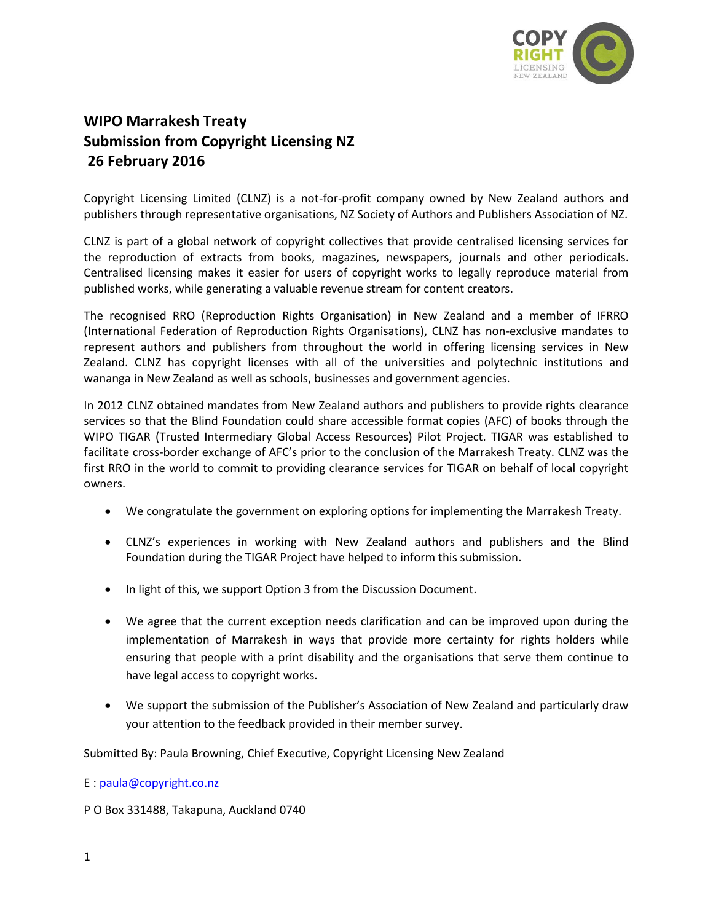

## **WIPO Marrakesh Treaty Submission from Copyright Licensing NZ 26 February 2016**

Copyright Licensing Limited (CLNZ) is a not-for-profit company owned by New Zealand authors and publishers through representative organisations, NZ Society of Authors and Publishers Association of NZ.

CLNZ is part of a global network of copyright collectives that provide centralised licensing services for the reproduction of extracts from books, magazines, newspapers, journals and other periodicals. Centralised licensing makes it easier for users of copyright works to legally reproduce material from published works, while generating a valuable revenue stream for content creators.

The recognised RRO (Reproduction Rights Organisation) in New Zealand and a member of IFRRO (International Federation of Reproduction Rights Organisations), CLNZ has non-exclusive mandates to represent authors and publishers from throughout the world in offering licensing services in New Zealand. CLNZ has copyright licenses with all of the universities and polytechnic institutions and wananga in New Zealand as well as schools, businesses and government agencies.

In 2012 CLNZ obtained mandates from New Zealand authors and publishers to provide rights clearance services so that the Blind Foundation could share accessible format copies (AFC) of books through the WIPO TIGAR (Trusted Intermediary Global Access Resources) Pilot Project. TIGAR was established to facilitate cross-border exchange of AFC's prior to the conclusion of the Marrakesh Treaty. CLNZ was the first RRO in the world to commit to providing clearance services for TIGAR on behalf of local copyright owners.

- We congratulate the government on exploring options for implementing the Marrakesh Treaty.
- CLNZ's experiences in working with New Zealand authors and publishers and the Blind Foundation during the TIGAR Project have helped to inform this submission.
- In light of this, we support Option 3 from the Discussion Document.
- We agree that the current exception needs clarification and can be improved upon during the implementation of Marrakesh in ways that provide more certainty for rights holders while ensuring that people with a print disability and the organisations that serve them continue to have legal access to copyright works.
- We support the submission of the Publisher's Association of New Zealand and particularly draw your attention to the feedback provided in their member survey.

Submitted By: Paula Browning, Chief Executive, Copyright Licensing New Zealand

E : [paula@copyright.co.nz](mailto:paula@copyright.co.nz)

P O Box 331488, Takapuna, Auckland 0740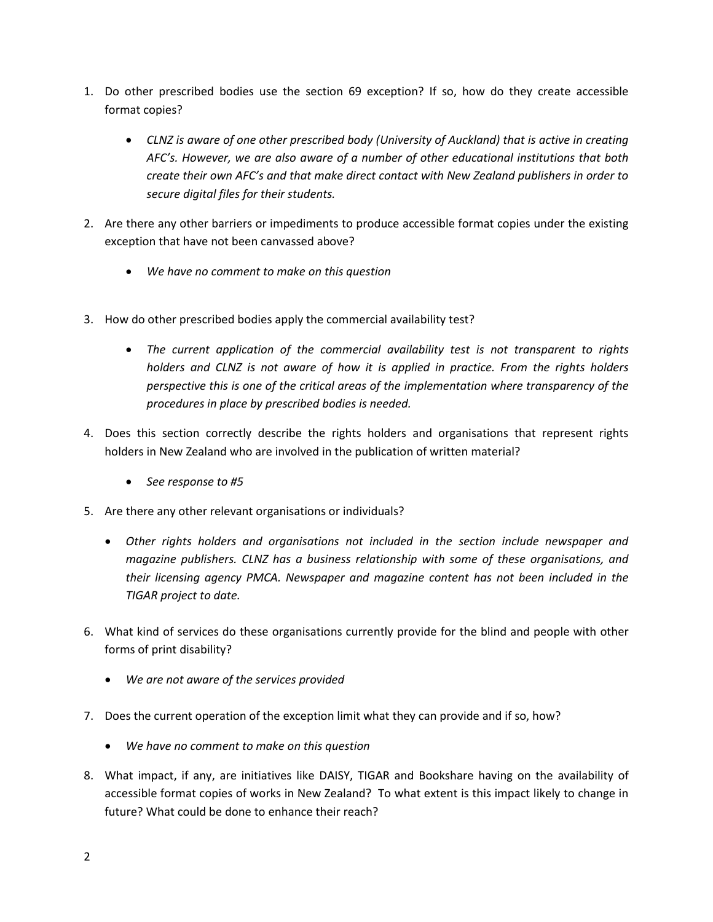- 1. Do other prescribed bodies use the section 69 exception? If so, how do they create accessible format copies?
	- *CLNZ is aware of one other prescribed body (University of Auckland) that is active in creating AFC's. However, we are also aware of a number of other educational institutions that both create their own AFC's and that make direct contact with New Zealand publishers in order to secure digital files for their students.*
- 2. Are there any other barriers or impediments to produce accessible format copies under the existing exception that have not been canvassed above?
	- *We have no comment to make on this question*
- 3. How do other prescribed bodies apply the commercial availability test?
	- *The current application of the commercial availability test is not transparent to rights holders and CLNZ is not aware of how it is applied in practice. From the rights holders perspective this is one of the critical areas of the implementation where transparency of the procedures in place by prescribed bodies is needed.*
- 4. Does this section correctly describe the rights holders and organisations that represent rights holders in New Zealand who are involved in the publication of written material?
	- *See response to #5*
- 5. Are there any other relevant organisations or individuals?
	- *Other rights holders and organisations not included in the section include newspaper and magazine publishers. CLNZ has a business relationship with some of these organisations, and their licensing agency PMCA. Newspaper and magazine content has not been included in the TIGAR project to date.*
- 6. What kind of services do these organisations currently provide for the blind and people with other forms of print disability?
	- *We are not aware of the services provided*
- 7. Does the current operation of the exception limit what they can provide and if so, how?
	- *We have no comment to make on this question*
- 8. What impact, if any, are initiatives like DAISY, TIGAR and Bookshare having on the availability of accessible format copies of works in New Zealand? To what extent is this impact likely to change in future? What could be done to enhance their reach?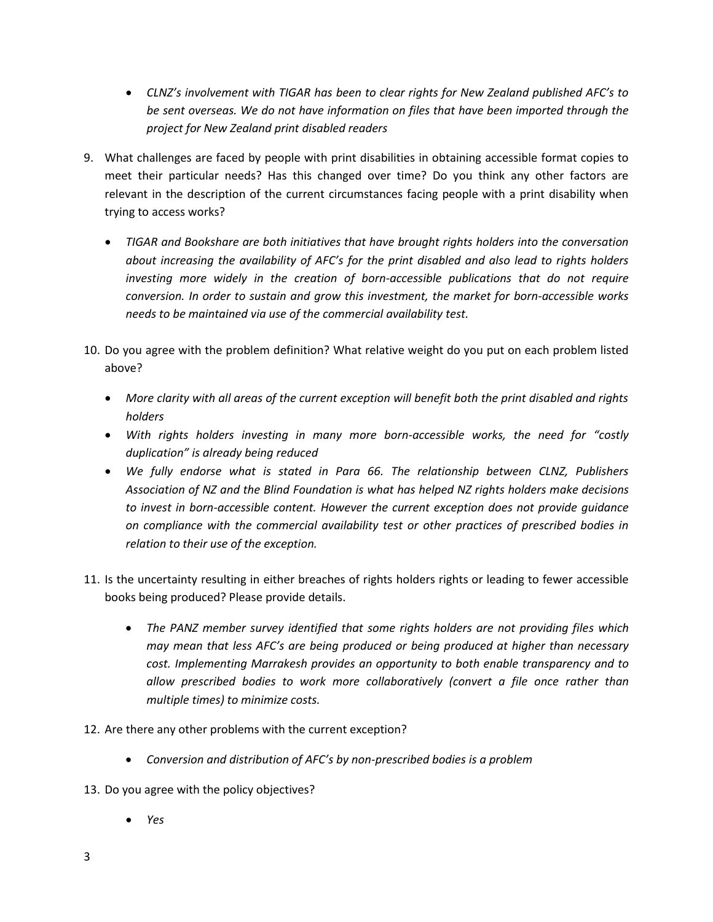- *CLNZ's involvement with TIGAR has been to clear rights for New Zealand published AFC's to be sent overseas. We do not have information on files that have been imported through the project for New Zealand print disabled readers*
- 9. What challenges are faced by people with print disabilities in obtaining accessible format copies to meet their particular needs? Has this changed over time? Do you think any other factors are relevant in the description of the current circumstances facing people with a print disability when trying to access works?
	- *TIGAR and Bookshare are both initiatives that have brought rights holders into the conversation about increasing the availability of AFC's for the print disabled and also lead to rights holders investing more widely in the creation of born-accessible publications that do not require conversion. In order to sustain and grow this investment, the market for born-accessible works needs to be maintained via use of the commercial availability test.*
- 10. Do you agree with the problem definition? What relative weight do you put on each problem listed above?
	- *More clarity with all areas of the current exception will benefit both the print disabled and rights holders*
	- *With rights holders investing in many more born-accessible works, the need for "costly duplication" is already being reduced*
	- *We fully endorse what is stated in Para 66. The relationship between CLNZ, Publishers Association of NZ and the Blind Foundation is what has helped NZ rights holders make decisions to invest in born-accessible content. However the current exception does not provide guidance on compliance with the commercial availability test or other practices of prescribed bodies in relation to their use of the exception.*
- 11. Is the uncertainty resulting in either breaches of rights holders rights or leading to fewer accessible books being produced? Please provide details.
	- *The PANZ member survey identified that some rights holders are not providing files which may mean that less AFC's are being produced or being produced at higher than necessary cost. Implementing Marrakesh provides an opportunity to both enable transparency and to allow prescribed bodies to work more collaboratively (convert a file once rather than multiple times) to minimize costs.*
- 12. Are there any other problems with the current exception?
	- *Conversion and distribution of AFC's by non-prescribed bodies is a problem*
- 13. Do you agree with the policy objectives?
	- *Yes*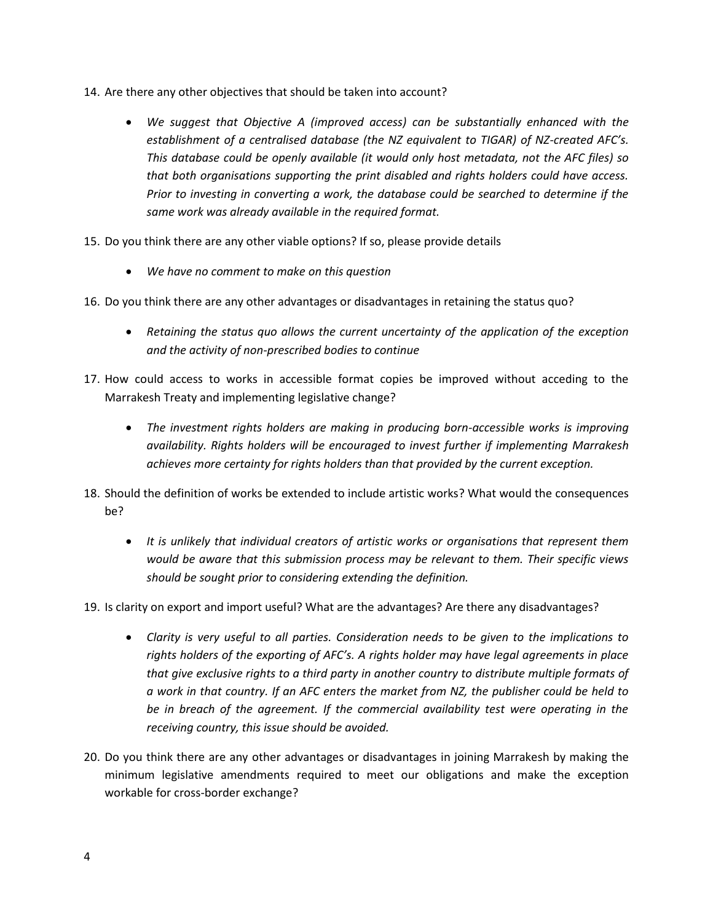- 14. Are there any other objectives that should be taken into account?
	- *We suggest that Objective A (improved access) can be substantially enhanced with the establishment of a centralised database (the NZ equivalent to TIGAR) of NZ-created AFC's. This database could be openly available (it would only host metadata, not the AFC files) so that both organisations supporting the print disabled and rights holders could have access. Prior to investing in converting a work, the database could be searched to determine if the same work was already available in the required format.*
- 15. Do you think there are any other viable options? If so, please provide details
	- *We have no comment to make on this question*
- 16. Do you think there are any other advantages or disadvantages in retaining the status quo?
	- *Retaining the status quo allows the current uncertainty of the application of the exception and the activity of non-prescribed bodies to continue*
- 17. How could access to works in accessible format copies be improved without acceding to the Marrakesh Treaty and implementing legislative change?
	- *The investment rights holders are making in producing born-accessible works is improving availability. Rights holders will be encouraged to invest further if implementing Marrakesh achieves more certainty for rights holders than that provided by the current exception.*
- 18. Should the definition of works be extended to include artistic works? What would the consequences be?
	- *It is unlikely that individual creators of artistic works or organisations that represent them would be aware that this submission process may be relevant to them. Their specific views should be sought prior to considering extending the definition.*
- 19. Is clarity on export and import useful? What are the advantages? Are there any disadvantages?
	- *Clarity is very useful to all parties. Consideration needs to be given to the implications to rights holders of the exporting of AFC's. A rights holder may have legal agreements in place that give exclusive rights to a third party in another country to distribute multiple formats of a work in that country. If an AFC enters the market from NZ, the publisher could be held to be in breach of the agreement. If the commercial availability test were operating in the receiving country, this issue should be avoided.*
- 20. Do you think there are any other advantages or disadvantages in joining Marrakesh by making the minimum legislative amendments required to meet our obligations and make the exception workable for cross-border exchange?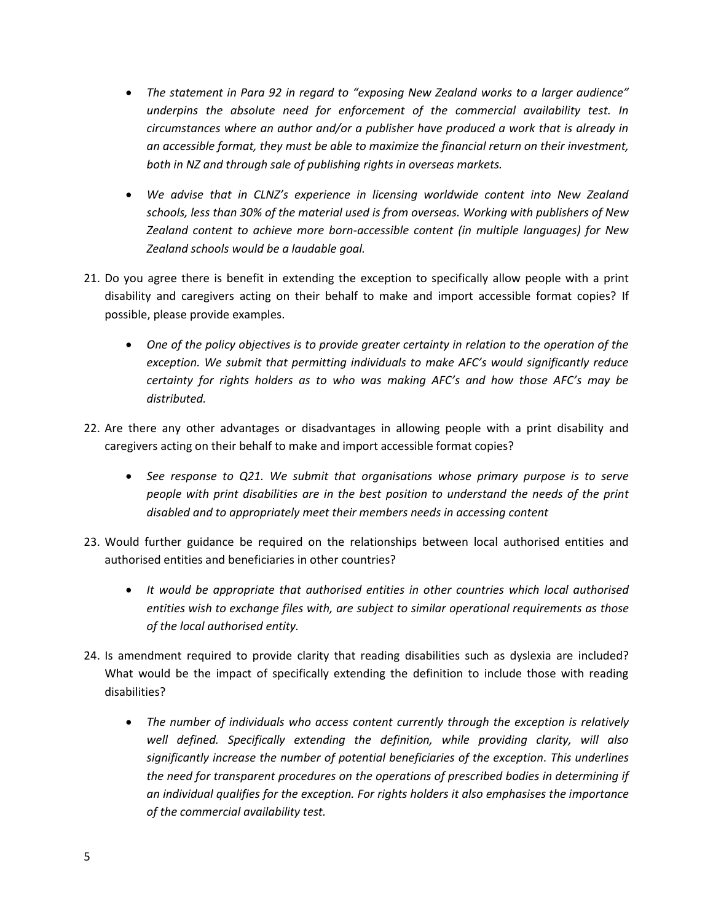- *The statement in Para 92 in regard to "exposing New Zealand works to a larger audience" underpins the absolute need for enforcement of the commercial availability test. In circumstances where an author and/or a publisher have produced a work that is already in an accessible format, they must be able to maximize the financial return on their investment, both in NZ and through sale of publishing rights in overseas markets.*
- *We advise that in CLNZ's experience in licensing worldwide content into New Zealand schools, less than 30% of the material used is from overseas. Working with publishers of New Zealand content to achieve more born-accessible content (in multiple languages) for New Zealand schools would be a laudable goal.*
- 21. Do you agree there is benefit in extending the exception to specifically allow people with a print disability and caregivers acting on their behalf to make and import accessible format copies? If possible, please provide examples.
	- One of the policy objectives is to provide greater certainty in relation to the operation of the *exception. We submit that permitting individuals to make AFC's would significantly reduce certainty for rights holders as to who was making AFC's and how those AFC's may be distributed.*
- 22. Are there any other advantages or disadvantages in allowing people with a print disability and caregivers acting on their behalf to make and import accessible format copies?
	- See response to Q21. We submit that organisations whose primary purpose is to serve *people with print disabilities are in the best position to understand the needs of the print disabled and to appropriately meet their members needs in accessing content*
- 23. Would further guidance be required on the relationships between local authorised entities and authorised entities and beneficiaries in other countries?
	- *It would be appropriate that authorised entities in other countries which local authorised entities wish to exchange files with, are subject to similar operational requirements as those of the local authorised entity.*
- 24. Is amendment required to provide clarity that reading disabilities such as dyslexia are included? What would be the impact of specifically extending the definition to include those with reading disabilities?
	- *The number of individuals who access content currently through the exception is relatively well defined. Specifically extending the definition, while providing clarity, will also significantly increase the number of potential beneficiaries of the exception. This underlines the need for transparent procedures on the operations of prescribed bodies in determining if an individual qualifies for the exception. For rights holders it also emphasises the importance of the commercial availability test.*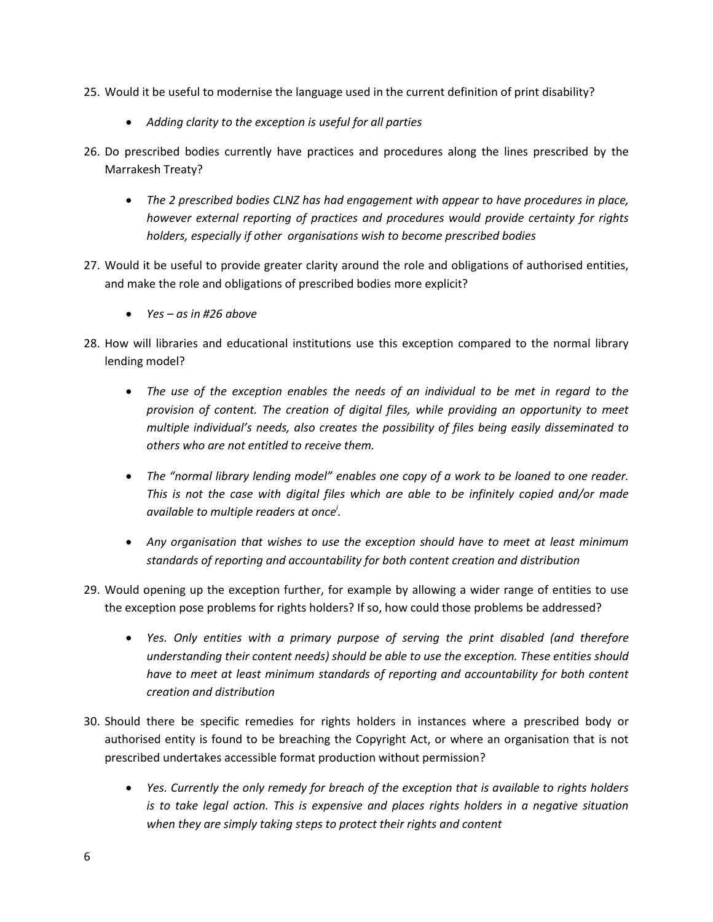- 25. Would it be useful to modernise the language used in the current definition of print disability?
	- *Adding clarity to the exception is useful for all parties*
- 26. Do prescribed bodies currently have practices and procedures along the lines prescribed by the Marrakesh Treaty?
	- *The 2 prescribed bodies CLNZ has had engagement with appear to have procedures in place, however external reporting of practices and procedures would provide certainty for rights holders, especially if other organisations wish to become prescribed bodies*
- 27. Would it be useful to provide greater clarity around the role and obligations of authorised entities, and make the role and obligations of prescribed bodies more explicit?
	- *Yes – as in #26 above*
- 28. How will libraries and educational institutions use this exception compared to the normal library lending model?
	- *The use of the exception enables the needs of an individual to be met in regard to the provision of content. The creation of digital files, while providing an opportunity to meet multiple individual's needs, also creates the possibility of files being easily disseminated to others who are not entitled to receive them.*
	- *The "normal library lending model" enables one copy of a work to be loaned to one reader. This is not the case with digital files which are able to be infinitely copied and/or made available to multiple readers at once<sup>i</sup> .*
	- *Any organisation that wishes to use the exception should have to meet at least minimum standards of reporting and accountability for both content creation and distribution*
- 29. Would opening up the exception further, for example by allowing a wider range of entities to use the exception pose problems for rights holders? If so, how could those problems be addressed?
	- *Yes. Only entities with a primary purpose of serving the print disabled (and therefore understanding their content needs) should be able to use the exception. These entities should have to meet at least minimum standards of reporting and accountability for both content creation and distribution*
- 30. Should there be specific remedies for rights holders in instances where a prescribed body or authorised entity is found to be breaching the Copyright Act, or where an organisation that is not prescribed undertakes accessible format production without permission?
	- *Yes. Currently the only remedy for breach of the exception that is available to rights holders is to take legal action. This is expensive and places rights holders in a negative situation when they are simply taking steps to protect their rights and content*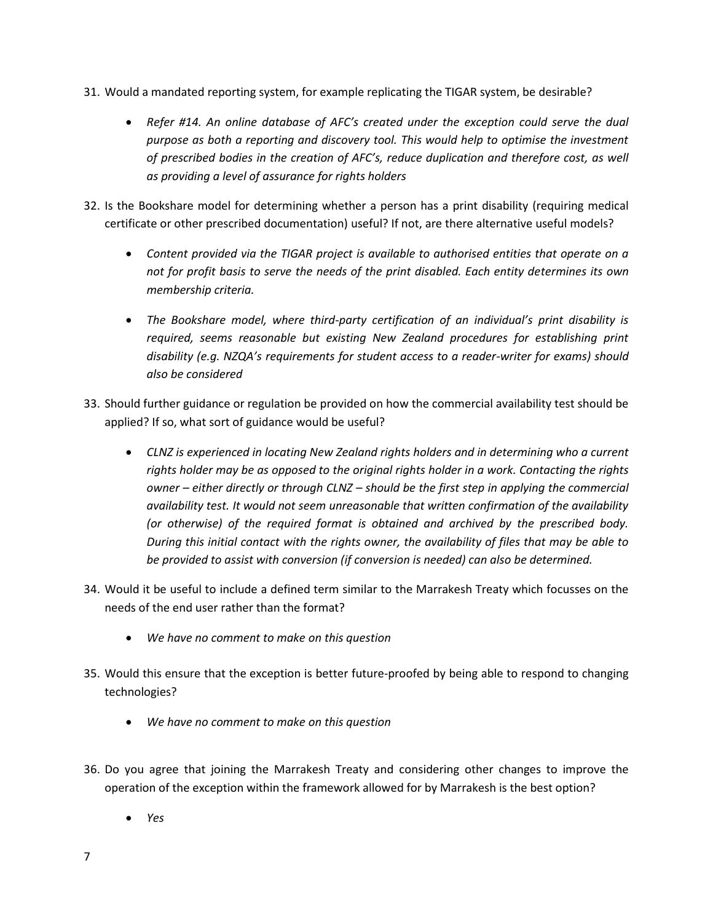- 31. Would a mandated reporting system, for example replicating the TIGAR system, be desirable?
	- *Refer #14. An online database of AFC's created under the exception could serve the dual purpose as both a reporting and discovery tool. This would help to optimise the investment of prescribed bodies in the creation of AFC's, reduce duplication and therefore cost, as well as providing a level of assurance for rights holders*
- 32. Is the Bookshare model for determining whether a person has a print disability (requiring medical certificate or other prescribed documentation) useful? If not, are there alternative useful models?
	- *Content provided via the TIGAR project is available to authorised entities that operate on a not for profit basis to serve the needs of the print disabled. Each entity determines its own membership criteria.*
	- *The Bookshare model, where third-party certification of an individual's print disability is required, seems reasonable but existing New Zealand procedures for establishing print disability (e.g. NZQA's requirements for student access to a reader-writer for exams) should also be considered*
- 33. Should further guidance or regulation be provided on how the commercial availability test should be applied? If so, what sort of guidance would be useful?
	- *CLNZ is experienced in locating New Zealand rights holders and in determining who a current rights holder may be as opposed to the original rights holder in a work. Contacting the rights owner – either directly or through CLNZ – should be the first step in applying the commercial availability test. It would not seem unreasonable that written confirmation of the availability (or otherwise) of the required format is obtained and archived by the prescribed body. During this initial contact with the rights owner, the availability of files that may be able to be provided to assist with conversion (if conversion is needed) can also be determined.*
- 34. Would it be useful to include a defined term similar to the Marrakesh Treaty which focusses on the needs of the end user rather than the format?
	- *We have no comment to make on this question*
- 35. Would this ensure that the exception is better future-proofed by being able to respond to changing technologies?
	- *We have no comment to make on this question*
- 36. Do you agree that joining the Marrakesh Treaty and considering other changes to improve the operation of the exception within the framework allowed for by Marrakesh is the best option?
	- *Yes*